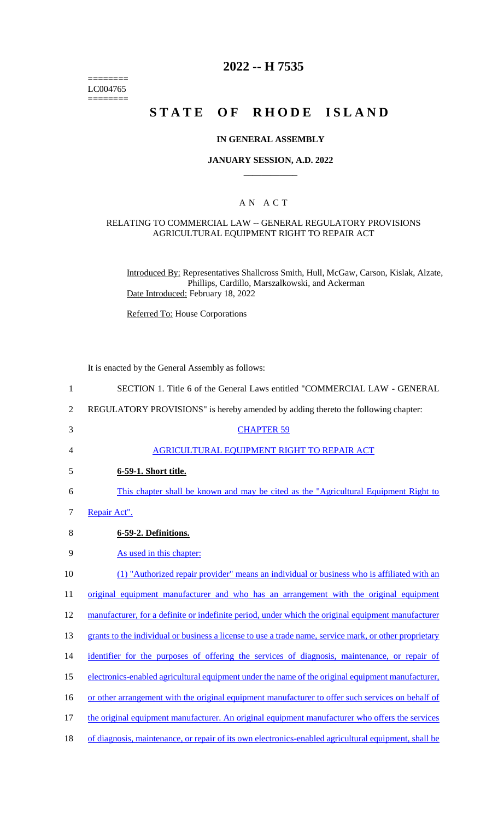======== LC004765  $=$ 

# **2022 -- H 7535**

# **STATE OF RHODE ISLAND**

#### **IN GENERAL ASSEMBLY**

#### **JANUARY SESSION, A.D. 2022 \_\_\_\_\_\_\_\_\_\_\_\_**

## A N A C T

#### RELATING TO COMMERCIAL LAW -- GENERAL REGULATORY PROVISIONS AGRICULTURAL EQUIPMENT RIGHT TO REPAIR ACT

Introduced By: Representatives Shallcross Smith, Hull, McGaw, Carson, Kislak, Alzate, Phillips, Cardillo, Marszalkowski, and Ackerman Date Introduced: February 18, 2022

Referred To: House Corporations

It is enacted by the General Assembly as follows:

| $\mathbf{1}$   | SECTION 1. Title 6 of the General Laws entitled "COMMERCIAL LAW - GENERAL                              |
|----------------|--------------------------------------------------------------------------------------------------------|
| $\overline{2}$ | REGULATORY PROVISIONS" is hereby amended by adding thereto the following chapter:                      |
| 3              | <b>CHAPTER 59</b>                                                                                      |
| 4              | AGRICULTURAL EQUIPMENT RIGHT TO REPAIR ACT                                                             |
| 5              | 6-59-1. Short title.                                                                                   |
| 6              | This chapter shall be known and may be cited as the "Agricultural Equipment Right to                   |
| 7              | Repair Act".                                                                                           |
| 8              | 6-59-2. Definitions.                                                                                   |
| 9              | As used in this chapter:                                                                               |
| 10             | (1) "Authorized repair provider" means an individual or business who is affiliated with an             |
| 11             | original equipment manufacturer and who has an arrangement with the original equipment                 |
| 12             | manufacturer, for a definite or indefinite period, under which the original equipment manufacturer     |
| 13             | grants to the individual or business a license to use a trade name, service mark, or other proprietary |
| 14             | identifier for the purposes of offering the services of diagnosis, maintenance, or repair of           |
| 15             | electronics-enabled agricultural equipment under the name of the original equipment manufacturer,      |
| 16             | or other arrangement with the original equipment manufacturer to offer such services on behalf of      |
| 17             | the original equipment manufacturer. An original equipment manufacturer who offers the services        |
| 18             | of diagnosis, maintenance, or repair of its own electronics-enabled agricultural equipment, shall be   |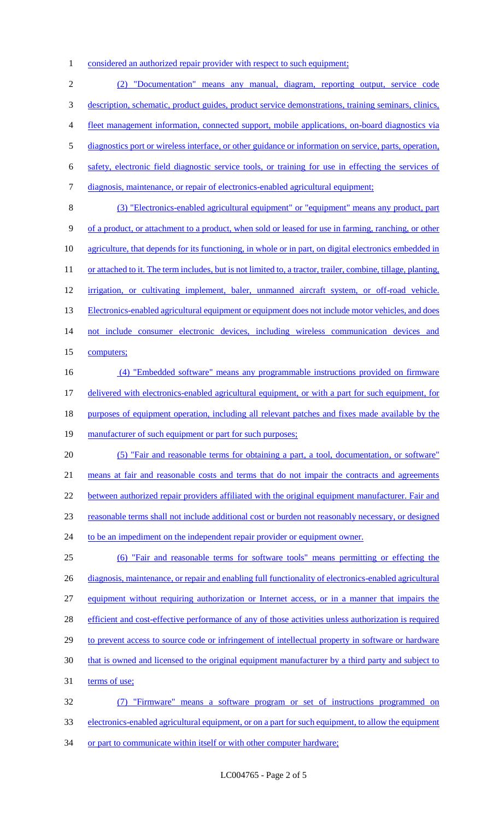1 considered an authorized repair provider with respect to such equipment;

2 (2) "Documentation" means any manual, diagram, reporting output, service code 3 description, schematic, product guides, product service demonstrations, training seminars, clinics, 4 fleet management information, connected support, mobile applications, on-board diagnostics via 5 diagnostics port or wireless interface, or other guidance or information on service, parts, operation, 6 safety, electronic field diagnostic service tools, or training for use in effecting the services of 7 diagnosis, maintenance, or repair of electronics-enabled agricultural equipment; 8 (3) "Electronics-enabled agricultural equipment" or "equipment" means any product, part 9 of a product, or attachment to a product, when sold or leased for use in farming, ranching, or other 10 agriculture, that depends for its functioning, in whole or in part, on digital electronics embedded in 11 or attached to it. The term includes, but is not limited to, a tractor, trailer, combine, tillage, planting, 12 irrigation, or cultivating implement, baler, unmanned aircraft system, or off-road vehicle. 13 Electronics-enabled agricultural equipment or equipment does not include motor vehicles, and does 14 not include consumer electronic devices, including wireless communication devices and 15 computers; 16 (4) "Embedded software" means any programmable instructions provided on firmware 17 delivered with electronics-enabled agricultural equipment, or with a part for such equipment, for 18 purposes of equipment operation, including all relevant patches and fixes made available by the 19 manufacturer of such equipment or part for such purposes; 20 (5) "Fair and reasonable terms for obtaining a part, a tool, documentation, or software" 21 means at fair and reasonable costs and terms that do not impair the contracts and agreements 22 between authorized repair providers affiliated with the original equipment manufacturer. Fair and 23 reasonable terms shall not include additional cost or burden not reasonably necessary, or designed 24 to be an impediment on the independent repair provider or equipment owner. 25 (6) "Fair and reasonable terms for software tools" means permitting or effecting the 26 diagnosis, maintenance, or repair and enabling full functionality of electronics-enabled agricultural 27 equipment without requiring authorization or Internet access, or in a manner that impairs the 28 efficient and cost-effective performance of any of those activities unless authorization is required 29 to prevent access to source code or infringement of intellectual property in software or hardware 30 that is owned and licensed to the original equipment manufacturer by a third party and subject to 31 terms of use; 32 (7) "Firmware" means a software program or set of instructions programmed on 33 electronics-enabled agricultural equipment, or on a part for such equipment, to allow the equipment

34 or part to communicate within itself or with other computer hardware;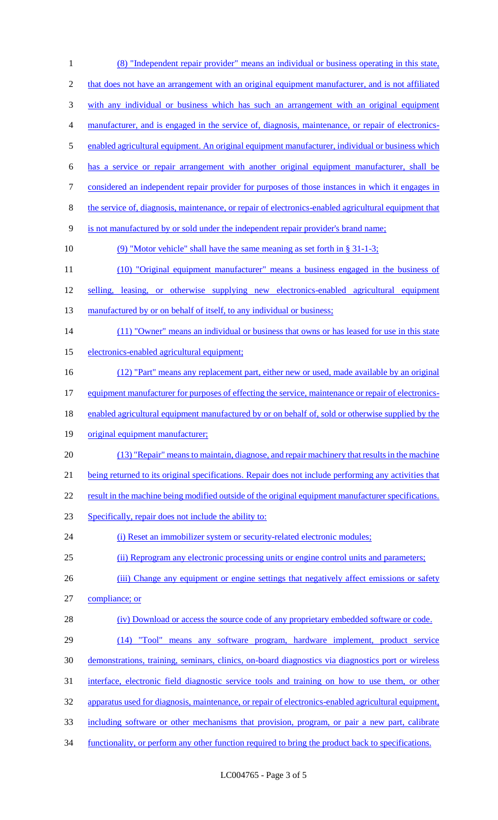(8) "Independent repair provider" means an individual or business operating in this state, 2 that does not have an arrangement with an original equipment manufacturer, and is not affiliated with any individual or business which has such an arrangement with an original equipment manufacturer, and is engaged in the service of, diagnosis, maintenance, or repair of electronics-5 enabled agricultural equipment. An original equipment manufacturer, individual or business which has a service or repair arrangement with another original equipment manufacturer, shall be considered an independent repair provider for purposes of those instances in which it engages in the service of, diagnosis, maintenance, or repair of electronics-enabled agricultural equipment that is not manufactured by or sold under the independent repair provider's brand name; (9) "Motor vehicle" shall have the same meaning as set forth in § 31-1-3; (10) "Original equipment manufacturer" means a business engaged in the business of 12 selling, leasing, or otherwise supplying new electronics-enabled agricultural equipment 13 manufactured by or on behalf of itself, to any individual or business; 14 (11) "Owner" means an individual or business that owns or has leased for use in this state electronics-enabled agricultural equipment; (12) "Part" means any replacement part, either new or used, made available by an original 17 equipment manufacturer for purposes of effecting the service, maintenance or repair of electronics-18 enabled agricultural equipment manufactured by or on behalf of, sold or otherwise supplied by the original equipment manufacturer; (13) "Repair" means to maintain, diagnose, and repair machinery that results in the machine being returned to its original specifications. Repair does not include performing any activities that 22 result in the machine being modified outside of the original equipment manufacturer specifications. Specifically, repair does not include the ability to: 24 (i) Reset an immobilizer system or security-related electronic modules; (ii) Reprogram any electronic processing units or engine control units and parameters; 26 (iii) Change any equipment or engine settings that negatively affect emissions or safety compliance; or 28 (iv) Download or access the source code of any proprietary embedded software or code. (14) "Tool" means any software program, hardware implement, product service demonstrations, training, seminars, clinics, on-board diagnostics via diagnostics port or wireless interface, electronic field diagnostic service tools and training on how to use them, or other apparatus used for diagnosis, maintenance, or repair of electronics-enabled agricultural equipment, including software or other mechanisms that provision, program, or pair a new part, calibrate functionality, or perform any other function required to bring the product back to specifications.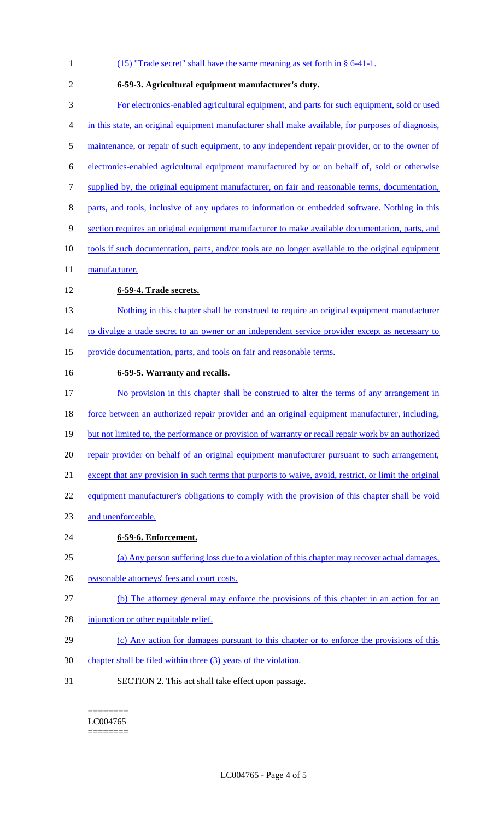| $\mathbf{1}$ | $(15)$ "Trade secret" shall have the same meaning as set forth in § 6-41-1.                            |
|--------------|--------------------------------------------------------------------------------------------------------|
| 2            | 6-59-3. Agricultural equipment manufacturer's duty.                                                    |
| 3            | For electronics-enabled agricultural equipment, and parts for such equipment, sold or used             |
| 4            | in this state, an original equipment manufacturer shall make available, for purposes of diagnosis,     |
| 5            | maintenance, or repair of such equipment, to any independent repair provider, or to the owner of       |
| 6            | electronics-enabled agricultural equipment manufactured by or on behalf of, sold or otherwise          |
| 7            | supplied by, the original equipment manufacturer, on fair and reasonable terms, documentation,         |
| 8            | parts, and tools, inclusive of any updates to information or embedded software. Nothing in this        |
| 9            | section requires an original equipment manufacturer to make available documentation, parts, and        |
| 10           | tools if such documentation, parts, and/or tools are no longer available to the original equipment     |
| 11           | manufacturer.                                                                                          |
| 12           | 6-59-4. Trade secrets.                                                                                 |
| 13           | Nothing in this chapter shall be construed to require an original equipment manufacturer               |
| 14           | to divulge a trade secret to an owner or an independent service provider except as necessary to        |
| 15           | provide documentation, parts, and tools on fair and reasonable terms.                                  |
| 16           | 6-59-5. Warranty and recalls.                                                                          |
| 17           | No provision in this chapter shall be construed to alter the terms of any arrangement in               |
| 18           | force between an authorized repair provider and an original equipment manufacturer, including,         |
| 19           | but not limited to, the performance or provision of warranty or recall repair work by an authorized    |
| 20           | repair provider on behalf of an original equipment manufacturer pursuant to such arrangement,          |
| 21           | except that any provision in such terms that purports to waive, avoid, restrict, or limit the original |
| 22           | equipment manufacturer's obligations to comply with the provision of this chapter shall be void        |
| 23           | and unenforceable.                                                                                     |
| 24           | 6-59-6. Enforcement.                                                                                   |
| 25           | (a) Any person suffering loss due to a violation of this chapter may recover actual damages,           |
| 26           | reasonable attorneys' fees and court costs.                                                            |
| 27           | (b) The attorney general may enforce the provisions of this chapter in an action for an                |
| 28           | injunction or other equitable relief.                                                                  |
| 29           | (c) Any action for damages pursuant to this chapter or to enforce the provisions of this               |
| 30           | chapter shall be filed within three (3) years of the violation.                                        |
| 31           | SECTION 2. This act shall take effect upon passage.                                                    |

 $=$ LC004765 ========